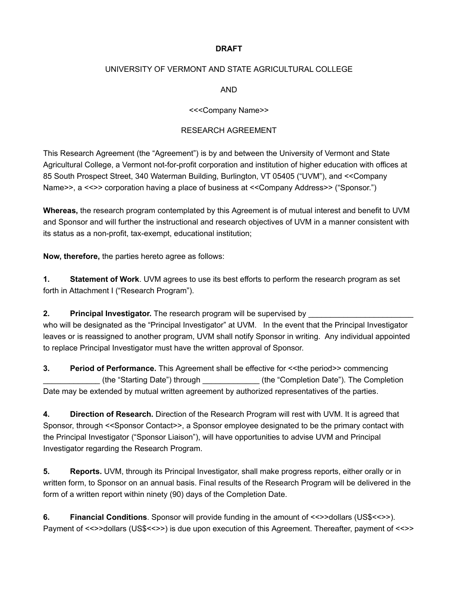### **DRAFT**

# UNIVERSITY OF VERMONT AND STATE AGRICULTURAL COLLEGE

AND

#### <<<Company Name>>

#### RESEARCH AGREEMENT

This Research Agreement (the "Agreement") is by and between the University of Vermont and State Agricultural College, a Vermont not-for-profit corporation and institution of higher education with offices at 85 South Prospect Street, 340 Waterman Building, Burlington, VT 05405 ("UVM"), and <<Company Name>>, a <<>> corporation having a place of business at <<Company Address>> ("Sponsor.")

**Whereas,** the research program contemplated by this Agreement is of mutual interest and benefit to UVM and Sponsor and will further the instructional and research objectives of UVM in a manner consistent with its status as a non-profit, tax-exempt, educational institution;

**Now, therefore,** the parties hereto agree as follows:

**1. Statement of Work**. UVM agrees to use its best efforts to perform the research program as set forth in Attachment I ("Research Program").

**2. Principal Investigator.** The research program will be supervised by who will be designated as the "Principal Investigator" at UVM. In the event that the Principal Investigator leaves or is reassigned to another program, UVM shall notify Sponsor in writing. Any individual appointed to replace Principal Investigator must have the written approval of Sponsor.

**3. Period of Performance.** This Agreement shall be effective for <<the period>> commencing \_\_\_\_\_\_\_\_\_\_\_\_\_ (the "Starting Date") through \_\_\_\_\_\_\_\_\_\_\_\_\_ (the "Completion Date"). The Completion Date may be extended by mutual written agreement by authorized representatives of the parties.

**4. Direction of Research.** Direction of the Research Program will rest with UVM. It is agreed that Sponsor, through <<Sponsor Contact>>, a Sponsor employee designated to be the primary contact with the Principal Investigator ("Sponsor Liaison"), will have opportunities to advise UVM and Principal Investigator regarding the Research Program.

**5. Reports.** UVM, through its Principal Investigator, shall make progress reports, either orally or in written form, to Sponsor on an annual basis. Final results of the Research Program will be delivered in the form of a written report within ninety (90) days of the Completion Date.

**6. Financial Conditions**. Sponsor will provide funding in the amount of <<>>dollars (US\$<<>>>>>>. Payment of <<>>dollars (US\$<<>>) is due upon execution of this Agreement. Thereafter, payment of <<>>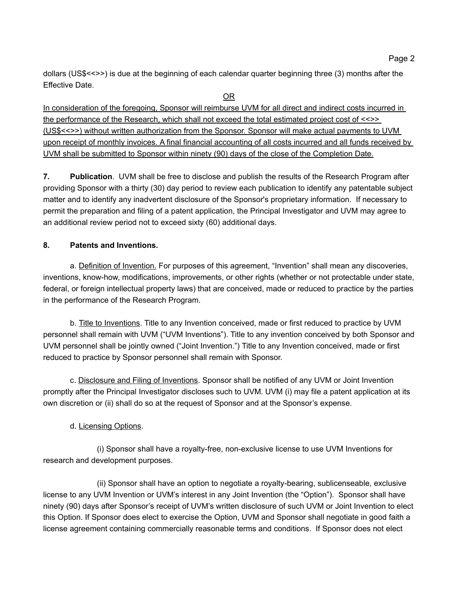dollars (US\$<<>>) is due at the beginning of each calendar quarter beginning three (3) months after the Effective Date.

OR

In consideration of the foregoing, Sponsor will reimburse UVM for all direct and indirect costs incurred in the performance of the Research, which shall not exceed the total estimated project cost of <<>> (US\$<<>>) without written authorization from the Sponsor. Sponsor will make actual payments to UVM upon receipt of monthly invoices. A final financial accounting of all costs incurred and all funds received by UVM shall be submitted to Sponsor within ninety (90) days of the close of the Completion Date.

**7. Publication**. UVM shall be free to disclose and publish the results of the Research Program after providing Sponsor with a thirty (30) day period to review each publication to identify any patentable subject matter and to identify any inadvertent disclosure of the Sponsor's proprietary information. If necessary to permit the preparation and filing of a patent application, the Principal Investigator and UVM may agree to an additional review period not to exceed sixty (60) additional days.

## **8. Patents and Inventions.**

a. Definition of Invention. For purposes of this agreement, "Invention" shall mean any discoveries, inventions, know-how, modifications, improvements, or other rights (whether or not protectable under state, federal, or foreign intellectual property laws) that are conceived, made or reduced to practice by the parties in the performance of the Research Program.

b. Title to Inventions. Title to any Invention conceived, made or first reduced to practice by UVM personnel shall remain with UVM ("UVM Inventions"). Title to any invention conceived by both Sponsor and UVM personnel shall be jointly owned ("Joint Invention.") Title to any Invention conceived, made or first reduced to practice by Sponsor personnel shall remain with Sponsor.

c. Disclosure and Filing of Inventions. Sponsor shall be notified of any UVM or Joint Invention promptly after the Principal Investigator discloses such to UVM. UVM (i) may file a patent application at its own discretion or (ii) shall do so at the request of Sponsor and at the Sponsor's expense.

### d. Licensing Options.

(i) Sponsor shall have a royalty-free, non-exclusive license to use UVM Inventions for research and development purposes.

(ii) Sponsor shall have an option to negotiate a royalty-bearing, sublicenseable, exclusive license to any UVM Invention or UVM's interest in any Joint Invention (the "Option"). Sponsor shall have ninety (90) days after Sponsor's receipt of UVM's written disclosure of such UVM or Joint Invention to elect this Option. If Sponsor does elect to exercise the Option, UVM and Sponsor shall negotiate in good faith a license agreement containing commercially reasonable terms and conditions. If Sponsor does not elect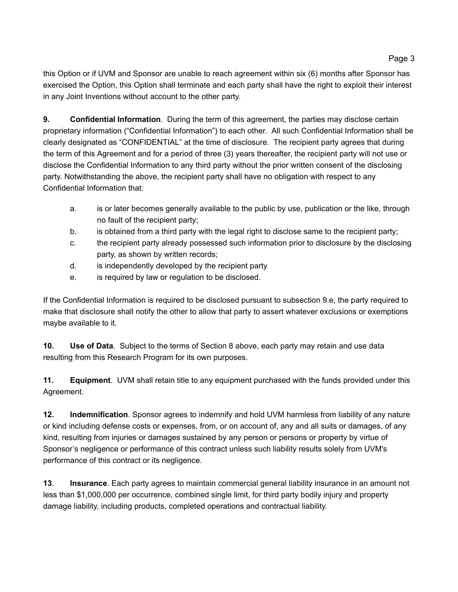this Option or if UVM and Sponsor are unable to reach agreement within six (6) months after Sponsor has exercised the Option, this Option shall terminate and each party shall have the right to exploit their interest in any Joint Inventions without account to the other party.

**9. Confidential Information**. During the term of this agreement, the parties may disclose certain proprietary information ("Confidential Information") to each other. All such Confidential Information shall be clearly designated as "CONFIDENTIAL" at the time of disclosure. The recipient party agrees that during the term of this Agreement and for a period of three (3) years thereafter, the recipient party will not use or disclose the Confidential Information to any third party without the prior written consent of the disclosing party. Notwithstanding the above, the recipient party shall have no obligation with respect to any Confidential Information that:

- a. is or later becomes generally available to the public by use, publication or the like, through no fault of the recipient party;
- b. is obtained from a third party with the legal right to disclose same to the recipient party;
- c. the recipient party already possessed such information prior to disclosure by the disclosing party, as shown by written records;
- d. is independently developed by the recipient party
- e. is required by law or regulation to be disclosed.

If the Confidential Information is required to be disclosed pursuant to subsection 9.e, the party required to make that disclosure shall notify the other to allow that party to assert whatever exclusions or exemptions maybe available to it.

**10. Use of Data**. Subject to the terms of Section 8 above, each party may retain and use data resulting from this Research Program for its own purposes.

**11. Equipment**. UVM shall retain title to any equipment purchased with the funds provided under this Agreement.

**12. Indemnification**. Sponsor agrees to indemnify and hold UVM harmless from liability of any nature or kind including defense costs or expenses, from, or on account of, any and all suits or damages, of any kind, resulting from injuries or damages sustained by any person or persons or property by virtue of Sponsor's negligence or performance of this contract unless such liability results solely from UVM's performance of this contract or its negligence.

**13**. **Insurance**. Each party agrees to maintain commercial general liability insurance in an amount not less than \$1,000,000 per occurrence, combined single limit, for third party bodily injury and property damage liability, including products, completed operations and contractual liability.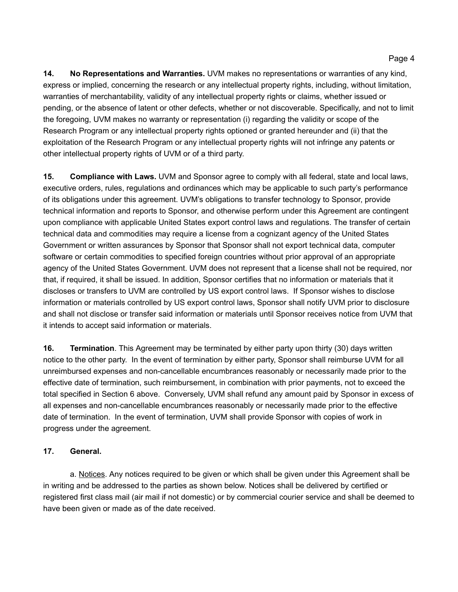**14. No Representations and Warranties.** UVM makes no representations or warranties of any kind, express or implied, concerning the research or any intellectual property rights, including, without limitation, warranties of merchantability, validity of any intellectual property rights or claims, whether issued or pending, or the absence of latent or other defects, whether or not discoverable. Specifically, and not to limit the foregoing, UVM makes no warranty or representation (i) regarding the validity or scope of the Research Program or any intellectual property rights optioned or granted hereunder and (ii) that the exploitation of the Research Program or any intellectual property rights will not infringe any patents or other intellectual property rights of UVM or of a third party.

**15. Compliance with Laws.** UVM and Sponsor agree to comply with all federal, state and local laws, executive orders, rules, regulations and ordinances which may be applicable to such party's performance of its obligations under this agreement. UVM's obligations to transfer technology to Sponsor, provide technical information and reports to Sponsor, and otherwise perform under this Agreement are contingent upon compliance with applicable United States export control laws and regulations. The transfer of certain technical data and commodities may require a license from a cognizant agency of the United States Government or written assurances by Sponsor that Sponsor shall not export technical data, computer software or certain commodities to specified foreign countries without prior approval of an appropriate agency of the United States Government. UVM does not represent that a license shall not be required, nor that, if required, it shall be issued. In addition, Sponsor certifies that no information or materials that it discloses or transfers to UVM are controlled by US export control laws. If Sponsor wishes to disclose information or materials controlled by US export control laws, Sponsor shall notify UVM prior to disclosure and shall not disclose or transfer said information or materials until Sponsor receives notice from UVM that it intends to accept said information or materials.

**16. Termination**. This Agreement may be terminated by either party upon thirty (30) days written notice to the other party. In the event of termination by either party, Sponsor shall reimburse UVM for all unreimbursed expenses and non-cancellable encumbrances reasonably or necessarily made prior to the effective date of termination, such reimbursement, in combination with prior payments, not to exceed the total specified in Section 6 above. Conversely, UVM shall refund any amount paid by Sponsor in excess of all expenses and non-cancellable encumbrances reasonably or necessarily made prior to the effective date of termination. In the event of termination, UVM shall provide Sponsor with copies of work in progress under the agreement.

# **17. General.**

a. Notices. Any notices required to be given or which shall be given under this Agreement shall be in writing and be addressed to the parties as shown below. Notices shall be delivered by certified or registered first class mail (air mail if not domestic) or by commercial courier service and shall be deemed to have been given or made as of the date received.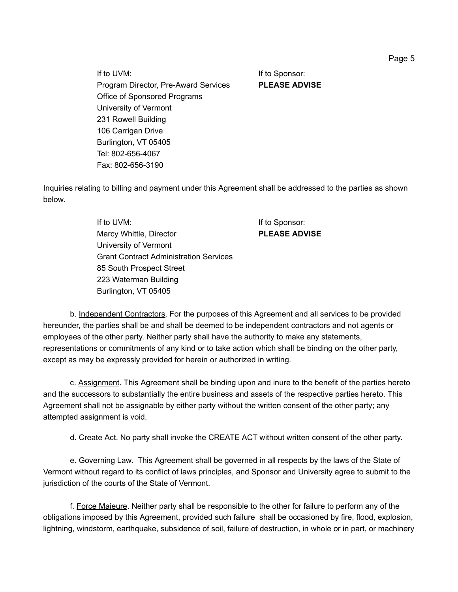If to UVM: If to Sponsor: Program Director, Pre-Award Services **PLEASE ADVISE** Office of Sponsored Programs University of Vermont 231 Rowell Building 106 Carrigan Drive Burlington, VT 05405 Tel: 802-656-4067 Fax: 802-656-3190

Inquiries relating to billing and payment under this Agreement shall be addressed to the parties as shown below.

> If to UVM: If to Sponsor: Marcy Whittle, Director **PLEASE ADVISE** University of Vermont Grant Contract Administration Services 85 South Prospect Street 223 Waterman Building Burlington, VT 05405

b. Independent Contractors. For the purposes of this Agreement and all services to be provided hereunder, the parties shall be and shall be deemed to be independent contractors and not agents or employees of the other party. Neither party shall have the authority to make any statements, representations or commitments of any kind or to take action which shall be binding on the other party, except as may be expressly provided for herein or authorized in writing.

c. Assignment. This Agreement shall be binding upon and inure to the benefit of the parties hereto and the successors to substantially the entire business and assets of the respective parties hereto. This Agreement shall not be assignable by either party without the written consent of the other party; any attempted assignment is void.

d. Create Act. No party shall invoke the CREATE ACT without written consent of the other party.

e. Governing Law. This Agreement shall be governed in all respects by the laws of the State of Vermont without regard to its conflict of laws principles, and Sponsor and University agree to submit to the jurisdiction of the courts of the State of Vermont.

f. Force Majeure. Neither party shall be responsible to the other for failure to perform any of the obligations imposed by this Agreement, provided such failure shall be occasioned by fire, flood, explosion, lightning, windstorm, earthquake, subsidence of soil, failure of destruction, in whole or in part, or machinery